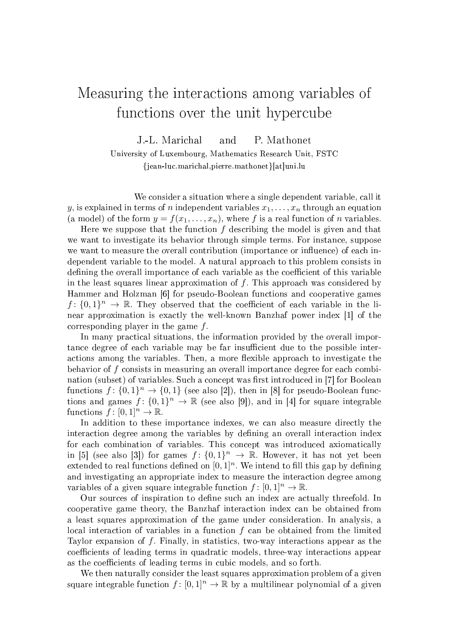## Measuring the interactions among variables of functions over the unit hypercube

J.-L. Marichal and P. Mathonet

University of Luxembourg, Mathematics Research Unit, FSTC {jean-luc.marichal,pierre.mathonet}[at]uni.lu

We consider a situation where a single dependent variable, call it y, is explained in terms of n independent variables  $x_1, \ldots, x_n$  through an equation (a model) of the form  $y = f(x_1, \ldots, x_n)$ , where f is a real function of n variables.

Here we suppose that the function  $f$  describing the model is given and that we want to investigate its behavior through simple terms. For instance, suppose we want to measure the overall contribution (importance or influence) of each independent variable to the model. A natural approach to this problem consists in defining the overall importance of each variable as the coefficient of this variable in the least squares linear approximation of  $f$ . This approach was considered by Hammer and Holzman [6] for pseudo-Boolean functions and cooperative games  $f: \{0,1\}^n \to \mathbb{R}$ . They observed that the coefficient of each variable in the linear approximation is exactly the well-known Banzhaf power index [1] of the corresponding player in the game f.

In many practical situations, the information provided by the overall importance degree of each variable may be far insufficient due to the possible interactions among the variables. Then, a more flexible approach to investigate the behavior of f consists in measuring an overall importance degree for each combination (subset) of variables. Such a concept was first introduced in [7] for Boolean functions  $f: \{0,1\}^n \to \{0,1\}$  (see also [2]), then in [8] for pseudo-Boolean functions and games  $f: \{0,1\}^n \to \mathbb{R}$  (see also [9]), and in [4] for square integrable functions  $f: [0, 1]^n \to \mathbb{R}$ .

In addition to these importance indexes, we can also measure directly the interaction degree among the variables by dening an overall interaction index for each combination of variables. This concept was introduced axiomatically in [5] (see also [3]) for games  $f: \{0,1\}^n \to \mathbb{R}$ . However, it has not yet been extended to real functions defined on  $[0, 1]^n$ . We intend to fill this gap by defining and investigating an appropriate index to measure the interaction degree among variables of a given square integrable function  $f : [0, 1]^n \to \mathbb{R}$ .

Our sources of inspiration to dene such an index are actually threefold. In cooperative game theory, the Banzhaf interaction index can be obtained from a least squares approximation of the game under consideration. In analysis, a local interaction of variables in a function  $f$  can be obtained from the limited Taylor expansion of  $f$ . Finally, in statistics, two-way interactions appear as the coefficients of leading terms in quadratic models, three-way interactions appear as the coefficients of leading terms in cubic models, and so forth.

We then naturally consider the least squares approximation problem of a given square integrable function  $f : [0, 1]^n \to \mathbb{R}$  by a multilinear polynomial of a given